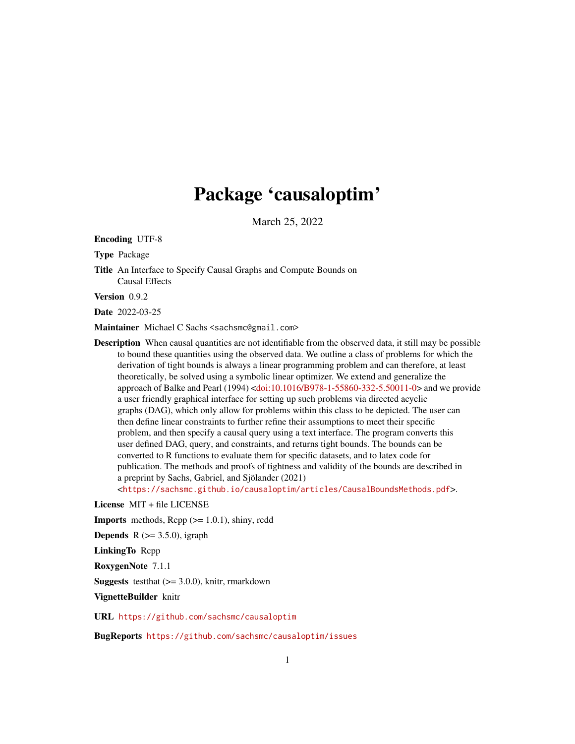# Package 'causaloptim'

March 25, 2022

<span id="page-0-0"></span>Encoding UTF-8

Type Package

Title An Interface to Specify Causal Graphs and Compute Bounds on Causal Effects

Version 0.9.2

Date 2022-03-25

Maintainer Michael C Sachs <sachsmc@gmail.com>

Description When causal quantities are not identifiable from the observed data, it still may be possible to bound these quantities using the observed data. We outline a class of problems for which the derivation of tight bounds is always a linear programming problem and can therefore, at least theoretically, be solved using a symbolic linear optimizer. We extend and generalize the approach of Balke and Pearl (1994) [<doi:10.1016/B978-1-55860-332-5.50011-0>](https://doi.org/10.1016/B978-1-55860-332-5.50011-0) and we provide a user friendly graphical interface for setting up such problems via directed acyclic graphs (DAG), which only allow for problems within this class to be depicted. The user can then define linear constraints to further refine their assumptions to meet their specific problem, and then specify a causal query using a text interface. The program converts this user defined DAG, query, and constraints, and returns tight bounds. The bounds can be converted to R functions to evaluate them for specific datasets, and to latex code for publication. The methods and proofs of tightness and validity of the bounds are described in a preprint by Sachs, Gabriel, and Sjölander (2021)

<<https://sachsmc.github.io/causaloptim/articles/CausalBoundsMethods.pdf>>.

License MIT + file LICENSE

**Imports** methods,  $\text{Rcpp}$  ( $>= 1.0.1$ ), shiny, rcdd

**Depends** R  $(>= 3.5.0)$ , igraph

LinkingTo Rcpp

RoxygenNote 7.1.1

**Suggests** test that  $(>= 3.0.0)$ , knitr, rmarkdown

VignetteBuilder knitr

URL <https://github.com/sachsmc/causaloptim>

BugReports <https://github.com/sachsmc/causaloptim/issues>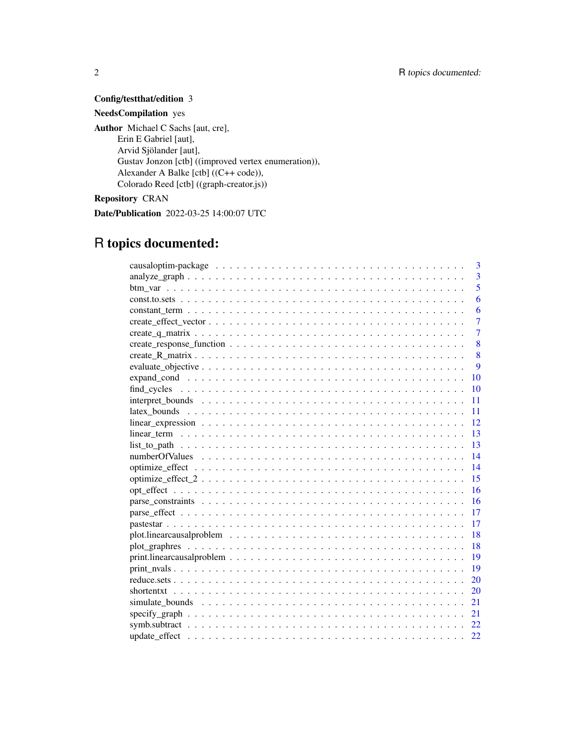## Config/testthat/edition 3 NeedsCompilation yes

Author Michael C Sachs [aut, cre], Erin E Gabriel [aut], Arvid Sjölander [aut], Gustav Jonzon [ctb] ((improved vertex enumeration)), Alexander A Balke [ctb] ((C++ code)), Colorado Reed [ctb] ((graph-creator.js)) Repository CRAN

Date/Publication 2022-03-25 14:00:07 UTC

# R topics documented:

| 3                                                                                                                         |
|---------------------------------------------------------------------------------------------------------------------------|
| $\overline{3}$                                                                                                            |
| 5                                                                                                                         |
| 6                                                                                                                         |
| 6                                                                                                                         |
| $\overline{7}$                                                                                                            |
| $\overline{7}$                                                                                                            |
| 8                                                                                                                         |
| 8                                                                                                                         |
| 9                                                                                                                         |
| 10                                                                                                                        |
| 10                                                                                                                        |
| 11                                                                                                                        |
| 11                                                                                                                        |
| 12                                                                                                                        |
| 13<br>$linear_term \dots \dots \dots \dots \dots \dots \dots \dots \dots \dots \dots \dots \dots \dots \dots \dots \dots$ |
| 13                                                                                                                        |
| 14                                                                                                                        |
| 14                                                                                                                        |
| 15                                                                                                                        |
| 16                                                                                                                        |
| 16                                                                                                                        |
| 17                                                                                                                        |
| 17                                                                                                                        |
| 18                                                                                                                        |
| 18                                                                                                                        |
| $print. linear causal problem \ldots \ldots \ldots \ldots \ldots \ldots \ldots \ldots \ldots \ldots \ldots$<br>19         |
| 19                                                                                                                        |
| 20                                                                                                                        |
| 20                                                                                                                        |
| 21                                                                                                                        |
| 21                                                                                                                        |
|                                                                                                                           |
| 22                                                                                                                        |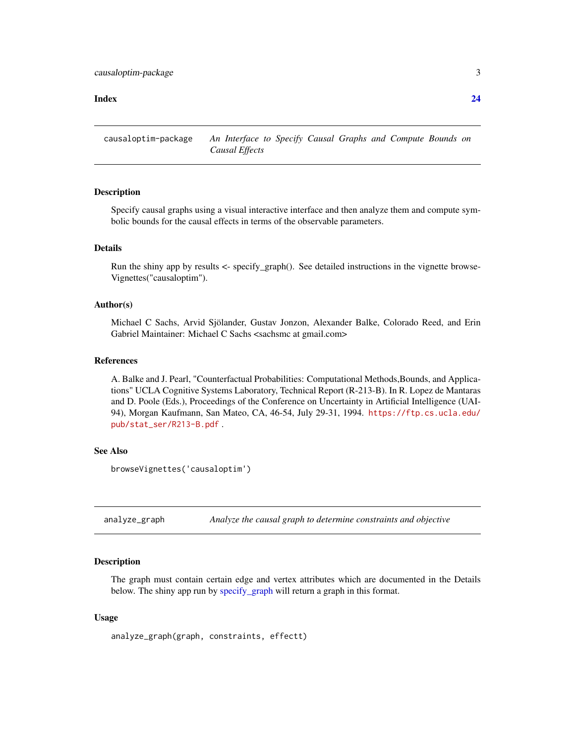#### <span id="page-2-0"></span>**Index** [24](#page-23-0)

causaloptim-package *An Interface to Specify Causal Graphs and Compute Bounds on Causal Effects*

#### **Description**

Specify causal graphs using a visual interactive interface and then analyze them and compute symbolic bounds for the causal effects in terms of the observable parameters.

#### Details

Run the shiny app by results <- specify\_graph(). See detailed instructions in the vignette browse-Vignettes("causaloptim").

#### Author(s)

Michael C Sachs, Arvid Sjölander, Gustav Jonzon, Alexander Balke, Colorado Reed, and Erin Gabriel Maintainer: Michael C Sachs <sachsmc at gmail.com>

## References

A. Balke and J. Pearl, "Counterfactual Probabilities: Computational Methods,Bounds, and Applications" UCLA Cognitive Systems Laboratory, Technical Report (R-213-B). In R. Lopez de Mantaras and D. Poole (Eds.), Proceedings of the Conference on Uncertainty in Artificial Intelligence (UAI-94), Morgan Kaufmann, San Mateo, CA, 46-54, July 29-31, 1994. [https://ftp.cs.ucla.edu/](https://ftp.cs.ucla.edu/pub/stat_ser/R213-B.pdf) [pub/stat\\_ser/R213-B.pdf](https://ftp.cs.ucla.edu/pub/stat_ser/R213-B.pdf) .

#### See Also

```
browseVignettes('causaloptim')
```
<span id="page-2-1"></span>analyze\_graph *Analyze the causal graph to determine constraints and objective*

#### Description

The graph must contain certain edge and vertex attributes which are documented in the Details below. The shiny app run by [specify\\_graph](#page-20-1) will return a graph in this format.

#### Usage

analyze\_graph(graph, constraints, effectt)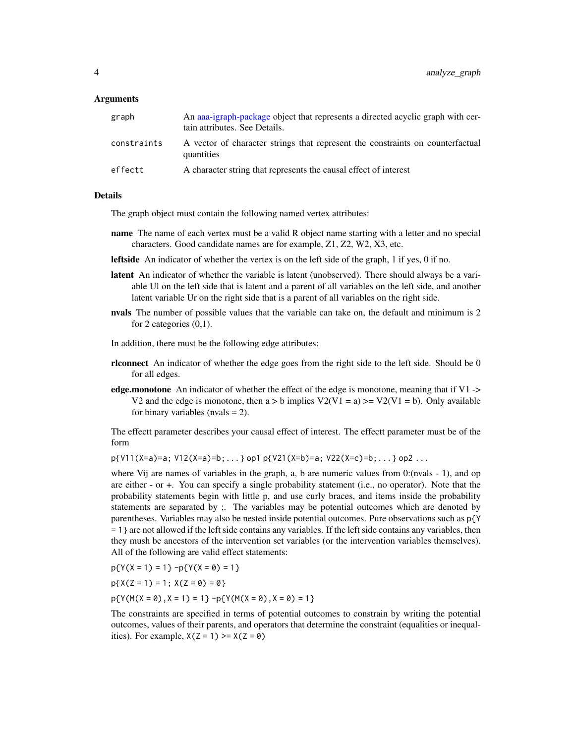#### <span id="page-3-0"></span>Arguments

| graph       | An aaa-igraph-package object that represents a directed acyclic graph with cer-<br>tain attributes. See Details. |
|-------------|------------------------------------------------------------------------------------------------------------------|
| constraints | A vector of character strings that represent the constraints on counterfactual<br>quantities                     |
| effectt     | A character string that represents the causal effect of interest                                                 |

#### Details

The graph object must contain the following named vertex attributes:

- name The name of each vertex must be a valid R object name starting with a letter and no special characters. Good candidate names are for example, Z1, Z2, W2, X3, etc.
- leftside An indicator of whether the vertex is on the left side of the graph, 1 if yes, 0 if no.
- latent An indicator of whether the variable is latent (unobserved). There should always be a variable Ul on the left side that is latent and a parent of all variables on the left side, and another latent variable Ur on the right side that is a parent of all variables on the right side.
- nvals The number of possible values that the variable can take on, the default and minimum is 2 for 2 categories (0,1).

In addition, there must be the following edge attributes:

- rlconnect An indicator of whether the edge goes from the right side to the left side. Should be 0 for all edges.
- edge.monotone An indicator of whether the effect of the edge is monotone, meaning that if  $V1 \rightarrow$ V2 and the edge is monotone, then  $a > b$  implies  $V2(V1 = a) \ge V2(V1 = b)$ . Only available for binary variables (nvals  $= 2$ ).

The effectt parameter describes your causal effect of interest. The effectt parameter must be of the form

p{V11(X=a)=a; V12(X=a)=b;...} op1 p{V21(X=b)=a; V22(X=c)=b;...} op2 ...

where Vij are names of variables in the graph, a, b are numeric values from 0:(nvals - 1), and op are either - or +. You can specify a single probability statement (i.e., no operator). Note that the probability statements begin with little p, and use curly braces, and items inside the probability statements are separated by ;. The variables may be potential outcomes which are denoted by parentheses. Variables may also be nested inside potential outcomes. Pure observations such as p{Y = 1} are not allowed if the left side contains any variables. If the left side contains any variables, then they mush be ancestors of the intervention set variables (or the intervention variables themselves). All of the following are valid effect statements:

$$
p\{Y(X=1)=1\} - p\{Y(X=0)=1\}
$$

$$
p\{X(Z=1)=1; X(Z=0)=0\}
$$

 $p{Y(M(X = 0), X = 1) = 1} -p{Y(M(X = 0), X = 0)} = 1}$ 

The constraints are specified in terms of potential outcomes to constrain by writing the potential outcomes, values of their parents, and operators that determine the constraint (equalities or inequalities). For example,  $X(Z = 1) \geq X(Z = 0)$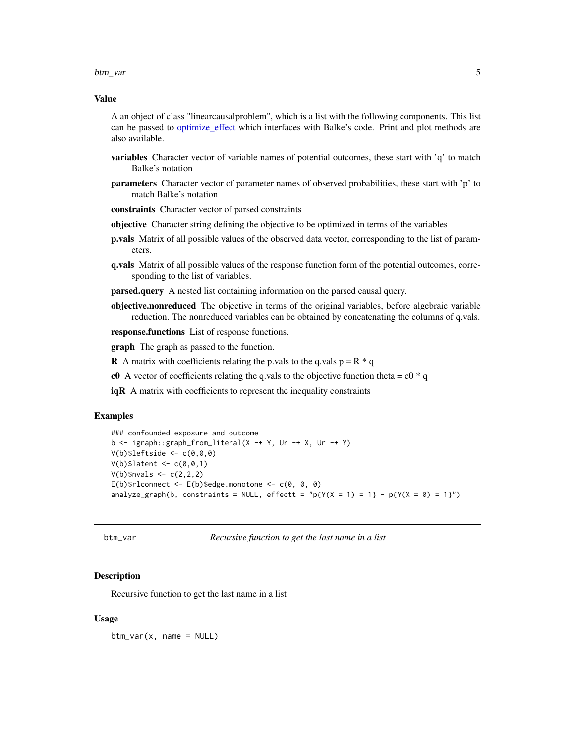#### <span id="page-4-0"></span>btm\_var 5

#### Value

A an object of class "linearcausalproblem", which is a list with the following components. This list can be passed to [optimize\\_effect](#page-13-1) which interfaces with Balke's code. Print and plot methods are also available.

- variables Character vector of variable names of potential outcomes, these start with 'q' to match Balke's notation
- parameters Character vector of parameter names of observed probabilities, these start with 'p' to match Balke's notation

constraints Character vector of parsed constraints

- objective Character string defining the objective to be optimized in terms of the variables
- **p.vals** Matrix of all possible values of the observed data vector, corresponding to the list of parameters.
- q.vals Matrix of all possible values of the response function form of the potential outcomes, corresponding to the list of variables.

**parsed.query** A nested list containing information on the parsed causal query.

objective.nonreduced The objective in terms of the original variables, before algebraic variable reduction. The nonreduced variables can be obtained by concatenating the columns of q.vals.

response.functions List of response functions.

**graph** The graph as passed to the function.

**R** A matrix with coefficients relating the p.vals to the q.vals  $p = R * q$ 

- c0 A vector of coefficients relating the q vals to the objective function theta =  $c0 * q$
- $iqR$  A matrix with coefficients to represent the inequality constraints

#### Examples

```
### confounded exposure and outcome
b \leq igraph::graph_from_literal(X -+ Y, Ur -+ X, Ur -+ Y)
V(b)$leftside <- c(\theta, \theta, \theta)V(b)$latent <- c(0,0,1)
V(b)$nvals <- c(2,2,2)E(b)$rlconnect <- E(b)$edge.monotone <- C(e, e, e)analyze_graph(b, constraints = NULL, effectt = "p{Y(X = 1) = 1} - p{Y(X = 0) = 1}")
```

```
btm_var Recursive function to get the last name in a list
```
#### Description

Recursive function to get the last name in a list

#### Usage

 $btm_var(x, name = NULL)$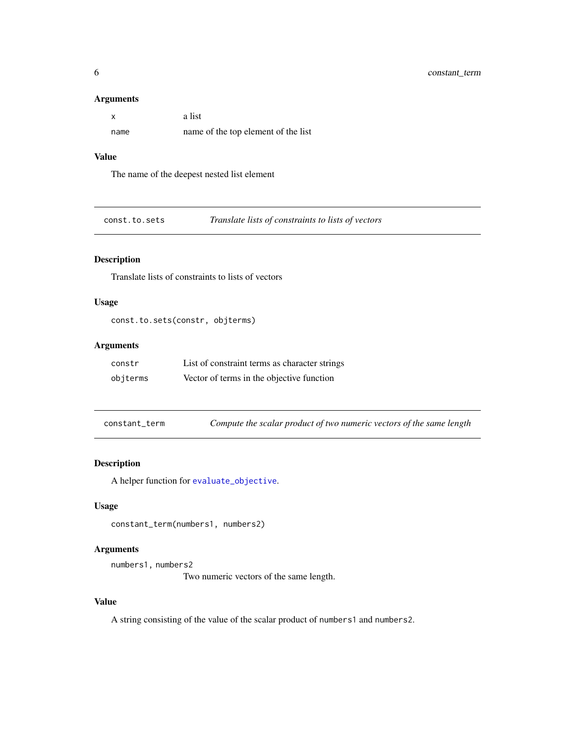#### <span id="page-5-0"></span>Arguments

|      | a list                              |
|------|-------------------------------------|
| name | name of the top element of the list |

#### Value

The name of the deepest nested list element

const.to.sets *Translate lists of constraints to lists of vectors*

## Description

Translate lists of constraints to lists of vectors

#### Usage

```
const.to.sets(constr, objterms)
```
## Arguments

| constr   | List of constraint terms as character strings |
|----------|-----------------------------------------------|
| objterms | Vector of terms in the objective function     |

| constant_term | Compute the scalar product of two numeric vectors of the same length |  |  |  |  |
|---------------|----------------------------------------------------------------------|--|--|--|--|
|---------------|----------------------------------------------------------------------|--|--|--|--|

## Description

A helper function for [evaluate\\_objective](#page-8-1).

## Usage

constant\_term(numbers1, numbers2)

## Arguments

```
numbers1, numbers2
```
Two numeric vectors of the same length.

## Value

A string consisting of the value of the scalar product of numbers1 and numbers2.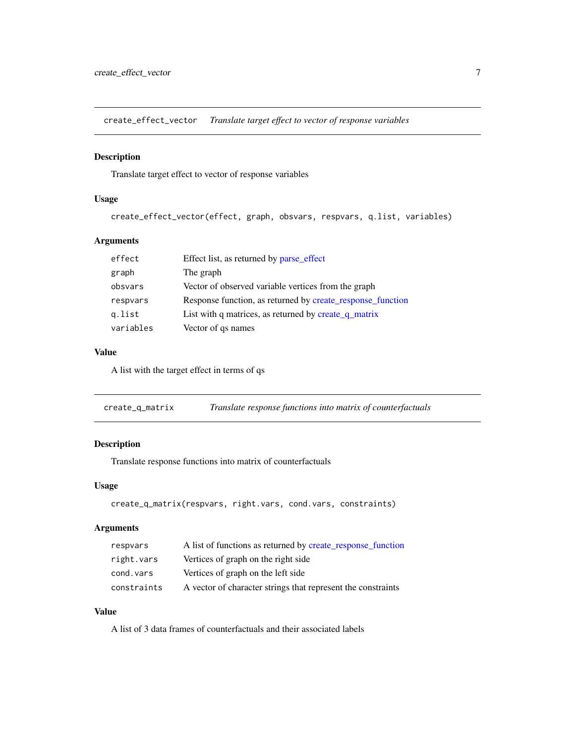<span id="page-6-0"></span>create\_effect\_vector *Translate target effect to vector of response variables*

#### Description

Translate target effect to vector of response variables

#### Usage

create\_effect\_vector(effect, graph, obsvars, respvars, q.list, variables)

## Arguments

| effect    | Effect list, as returned by parse_effect                   |
|-----------|------------------------------------------------------------|
| graph     | The graph                                                  |
| obsvars   | Vector of observed variable vertices from the graph        |
| respvars  | Response function, as returned by create_response_function |
| g.list    | List with q matrices, as returned by create_q_matrix       |
| variables | Vector of qs names                                         |

#### Value

A list with the target effect in terms of qs

<span id="page-6-1"></span>create\_q\_matrix *Translate response functions into matrix of counterfactuals*

## Description

Translate response functions into matrix of counterfactuals

#### Usage

```
create_q_matrix(respvars, right.vars, cond.vars, constraints)
```
## Arguments

| respvars    | A list of functions as returned by create_response_function  |
|-------------|--------------------------------------------------------------|
| right.vars  | Vertices of graph on the right side                          |
| cond.vars   | Vertices of graph on the left side                           |
| constraints | A vector of character strings that represent the constraints |

## Value

A list of 3 data frames of counterfactuals and their associated labels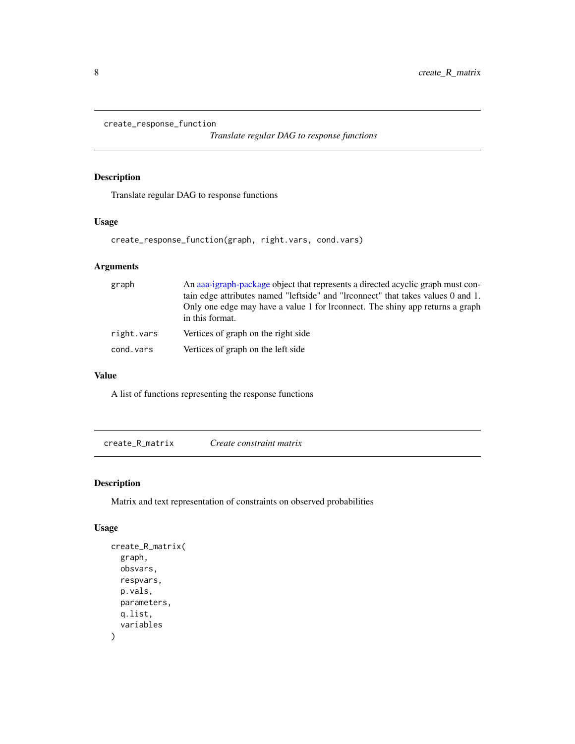```
create_response_function
```
*Translate regular DAG to response functions*

#### Description

Translate regular DAG to response functions

## Usage

```
create_response_function(graph, right.vars, cond.vars)
```
## Arguments

| graph      | An aaa-igraph-package object that represents a directed acyclic graph must con-<br>tain edge attributes named "leftside" and "lrconnect" that takes values 0 and 1. |
|------------|---------------------------------------------------------------------------------------------------------------------------------------------------------------------|
|            | Only one edge may have a value 1 for Irconnect. The shiny app returns a graph<br>in this format.                                                                    |
| right.vars | Vertices of graph on the right side                                                                                                                                 |
| cond.vars  | Vertices of graph on the left side                                                                                                                                  |

#### Value

A list of functions representing the response functions

create\_R\_matrix *Create constraint matrix*

## Description

Matrix and text representation of constraints on observed probabilities

#### Usage

```
create_R_matrix(
  graph,
  obsvars,
  respvars,
  p.vals,
  parameters,
  q.list,
  variables
\mathcal{E}
```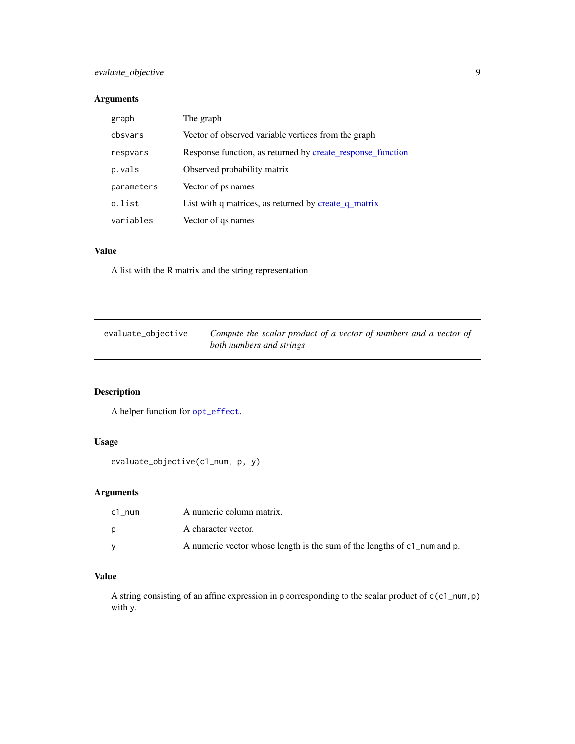## <span id="page-8-0"></span>evaluate\_objective 9

## Arguments

| graph      | The graph                                                  |
|------------|------------------------------------------------------------|
| obsvars    | Vector of observed variable vertices from the graph        |
| respvars   | Response function, as returned by create_response_function |
| p.vals     | Observed probability matrix                                |
| parameters | Vector of ps names                                         |
| g.list     | List with q matrices, as returned by create q matrix       |
| variables  | Vector of qs names                                         |

## Value

A list with the R matrix and the string representation

<span id="page-8-1"></span>

| evaluate_objective | Compute the scalar product of a vector of numbers and a vector of |
|--------------------|-------------------------------------------------------------------|
|                    | both numbers and strings                                          |

## Description

A helper function for [opt\\_effect](#page-15-1).

## Usage

```
evaluate_objective(c1_num, p, y)
```
## Arguments

| c1 num | A numeric column matrix.                                                 |
|--------|--------------------------------------------------------------------------|
| D      | A character vector.                                                      |
|        | A numeric vector whose length is the sum of the lengths of c1_num and p. |

## Value

A string consisting of an affine expression in p corresponding to the scalar product of c(c1\_num,p) with y.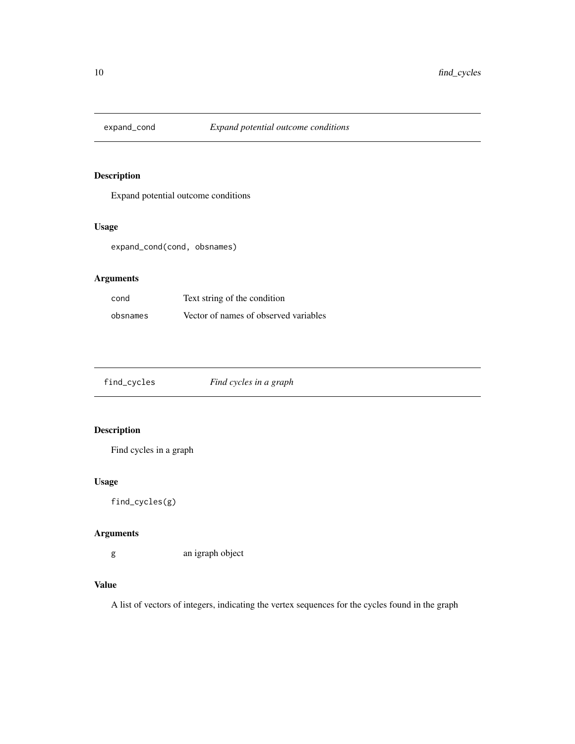<span id="page-9-0"></span>

Expand potential outcome conditions

## Usage

expand\_cond(cond, obsnames)

## Arguments

| cond     | Text string of the condition          |
|----------|---------------------------------------|
| obsnames | Vector of names of observed variables |

| find_cycles | Find cycles in a graph |  |
|-------------|------------------------|--|
|-------------|------------------------|--|

## Description

Find cycles in a graph

## Usage

find\_cycles(g)

## Arguments

g an igraph object

## Value

A list of vectors of integers, indicating the vertex sequences for the cycles found in the graph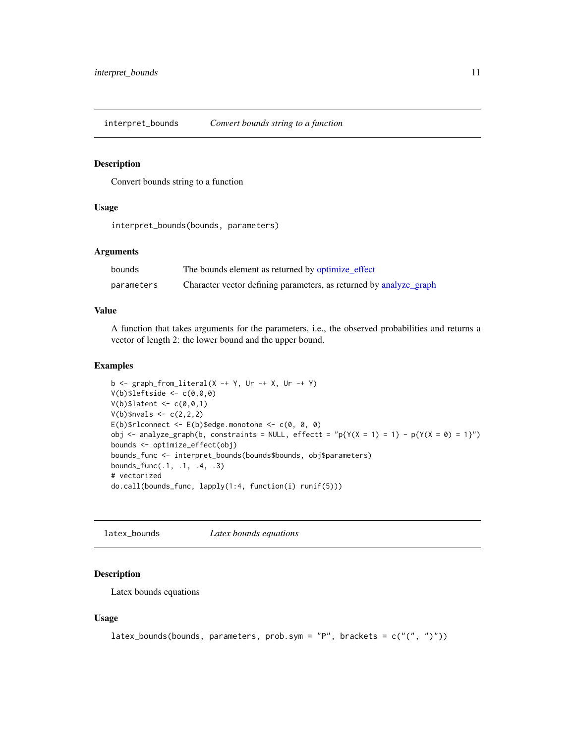<span id="page-10-1"></span><span id="page-10-0"></span>interpret\_bounds *Convert bounds string to a function*

#### Description

Convert bounds string to a function

## Usage

interpret\_bounds(bounds, parameters)

#### **Arguments**

| bounds     | The bounds element as returned by optimize_effect                  |
|------------|--------------------------------------------------------------------|
| parameters | Character vector defining parameters, as returned by analyze_graph |

#### Value

A function that takes arguments for the parameters, i.e., the observed probabilities and returns a vector of length 2: the lower bound and the upper bound.

#### Examples

```
b \leq graph_from_literal(X -+ Y, Ur -+ X, Ur -+ Y)
V(b)$leftside <- c(\theta, \theta, \theta)V(b)$latent <- c(0,0,1)V(b)$nvals <- c(2,2,2)E(b)$rlconnect <- E(b)$edge.monotone <- c(0, 0, 0)obj <- analyze_graph(b, constraints = NULL, effectt = "p{Y(X = 1) = 1} - p{Y(X = 0) = 1}")
bounds <- optimize_effect(obj)
bounds_func <- interpret_bounds(bounds$bounds, obj$parameters)
bounds_func(.1, .1, .4, .3)
# vectorized
do.call(bounds_func, lapply(1:4, function(i) runif(5)))
```
<span id="page-10-2"></span>latex\_bounds *Latex bounds equations*

#### Description

Latex bounds equations

#### Usage

```
latex_bounds(bounds, parameters, prob.sym = "P", brackets = c("", ")"))
```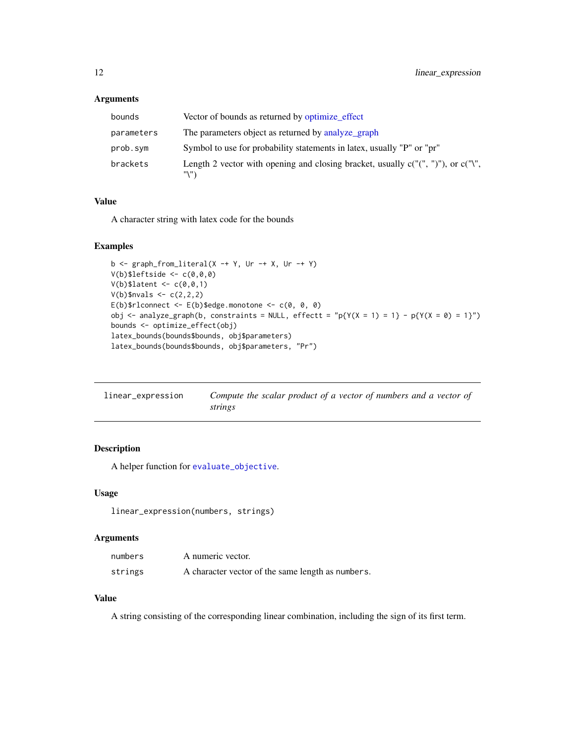#### <span id="page-11-0"></span>Arguments

| bounds     | Vector of bounds as returned by optimize_effect                                               |
|------------|-----------------------------------------------------------------------------------------------|
| parameters | The parameters object as returned by analyze_graph                                            |
| prob.sym   | Symbol to use for probability statements in latex, usually "P" or "pr"                        |
| brackets   | Length 2 vector with opening and closing bracket, usually $c("", ")"$ ), or $c("", "$<br>"\"` |

#### Value

A character string with latex code for the bounds

#### Examples

```
b \leq graph_from_literal(X -+ Y, Ur -+ X, Ur -+ Y)
V(b)$leftside <- c(\theta, \theta, \theta)V(b)$latent <- c(0,0,1)
V(b)$nvals <- c(2,2,2)E(b)$rlconnect <- E(b)$edge.monotone <- c(\emptyset, \emptyset, \emptyset)obj <- analyze_graph(b, constraints = NULL, effectt = "p{Y(X = 1) = 1} - p{Y(X = 0) = 1}")bounds <- optimize_effect(obj)
latex_bounds(bounds$bounds, obj$parameters)
latex_bounds(bounds$bounds, obj$parameters, "Pr")
```
<span id="page-11-1"></span>

| linear_expression | Compute the scalar product of a vector of numbers and a vector of |
|-------------------|-------------------------------------------------------------------|
|                   | strings                                                           |

## Description

A helper function for [evaluate\\_objective](#page-8-1).

#### Usage

linear\_expression(numbers, strings)

## Arguments

| numbers | A numeric vector.                                 |
|---------|---------------------------------------------------|
| strings | A character vector of the same length as numbers. |

#### Value

A string consisting of the corresponding linear combination, including the sign of its first term.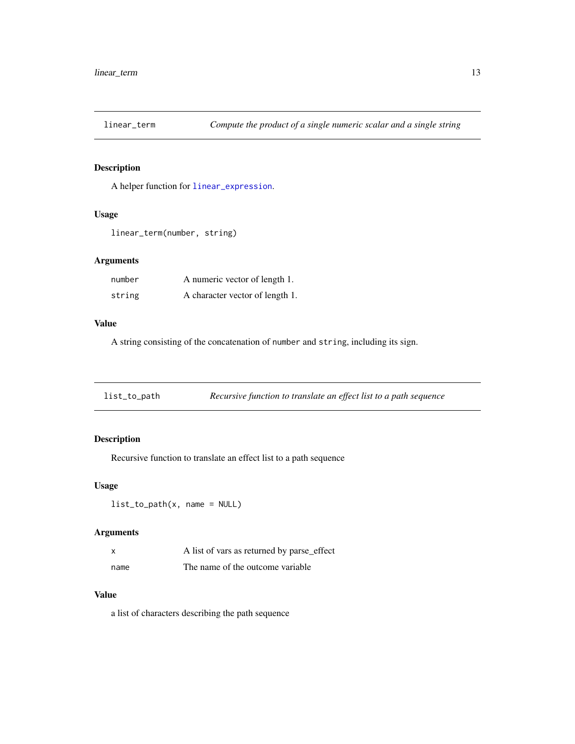<span id="page-12-0"></span>

A helper function for [linear\\_expression](#page-11-1).

## Usage

```
linear_term(number, string)
```
## Arguments

| number | A numeric vector of length 1.   |
|--------|---------------------------------|
| string | A character vector of length 1. |

#### Value

A string consisting of the concatenation of number and string, including its sign.

| list_to_path | Recursive function to translate an effect list to a path sequence |  |
|--------------|-------------------------------------------------------------------|--|
|              |                                                                   |  |

## Description

Recursive function to translate an effect list to a path sequence

#### Usage

list\_to\_path(x, name = NULL)

## Arguments

| X    | A list of vars as returned by parse_effect |
|------|--------------------------------------------|
| name | The name of the outcome variable.          |

## Value

a list of characters describing the path sequence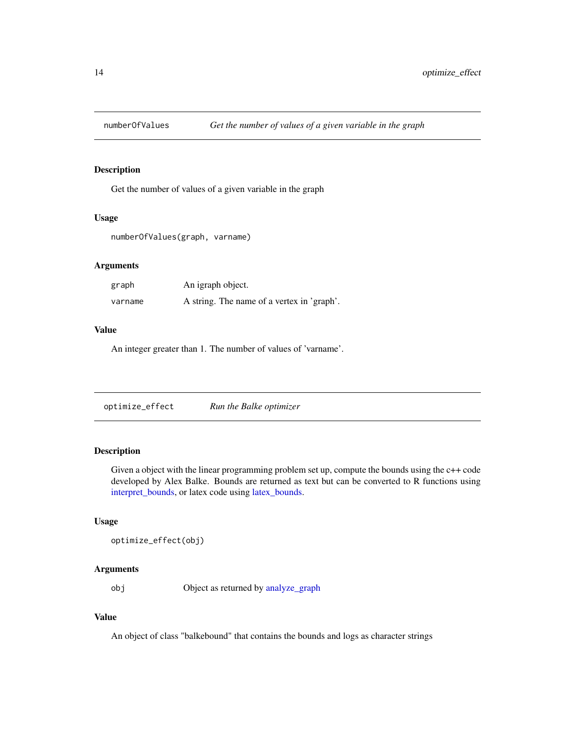<span id="page-13-0"></span>

Get the number of values of a given variable in the graph

#### Usage

numberOfValues(graph, varname)

## Arguments

| graph   | An igraph object.                          |
|---------|--------------------------------------------|
| varname | A string. The name of a vertex in 'graph'. |

#### Value

An integer greater than 1. The number of values of 'varname'.

<span id="page-13-1"></span>

## Description

Given a object with the linear programming problem set up, compute the bounds using the c++ code developed by Alex Balke. Bounds are returned as text but can be converted to R functions using [interpret\\_bounds,](#page-10-1) or latex code using [latex\\_bounds.](#page-10-2)

## Usage

```
optimize_effect(obj)
```
## Arguments

obj Object as returned by [analyze\\_graph](#page-2-1)

## Value

An object of class "balkebound" that contains the bounds and logs as character strings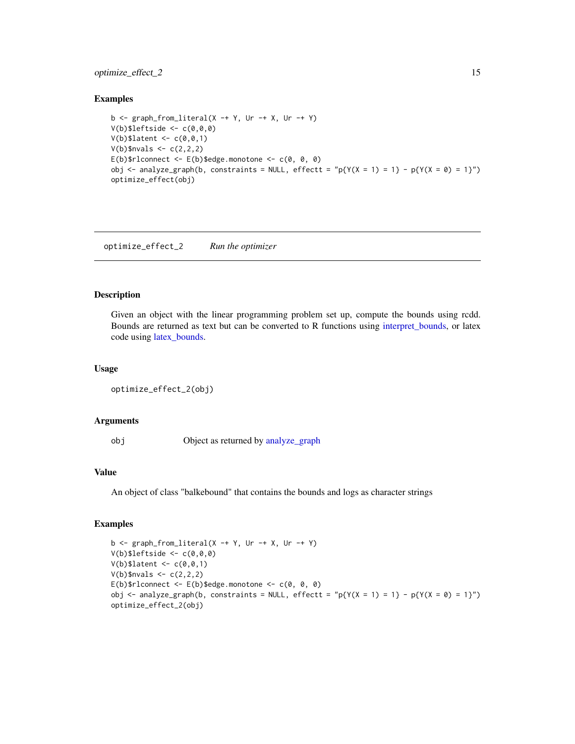## <span id="page-14-0"></span>optimize\_effect\_2 15

#### Examples

```
b \leq graph_from_literal(X -+ Y, Ur -+ X, Ur -+ Y)
V(b)$leftside <- c(0,0,0)
V(b)$latent <- c(0,0,1)
V(b)$nvals <- c(2,2,2)E(b)$rlconnect <- E(b)$edge.monotone <- c(0, 0, 0)obj <- analyze_graph(b, constraints = NULL, effectt = "p{Y(X = 1) = 1} - p{Y(X = 0) = 1}")
optimize_effect(obj)
```
<span id="page-14-1"></span>optimize\_effect\_2 *Run the optimizer*

#### Description

Given an object with the linear programming problem set up, compute the bounds using rcdd. Bounds are returned as text but can be converted to R functions using [interpret\\_bounds,](#page-10-1) or latex code using [latex\\_bounds.](#page-10-2)

#### Usage

```
optimize_effect_2(obj)
```
#### Arguments

obj Object as returned by [analyze\\_graph](#page-2-1)

#### Value

An object of class "balkebound" that contains the bounds and logs as character strings

#### Examples

```
b \leq graph_from_literal(X -+ Y, Ur -+ X, Ur -+ Y)
V(b)$leftside <- c(0,0,0)V(b)$latent <- c(0,0,1)
V(b)$nvals <- c(2,2,2)E(b)$rlconnect <- E(b)$edge.monotone <- C(e, e, e)obj <- analyze_graph(b, constraints = NULL, effectt = "p{Y(X = 1) = 1} - p{Y(X = 0) = 1}")
optimize_effect_2(obj)
```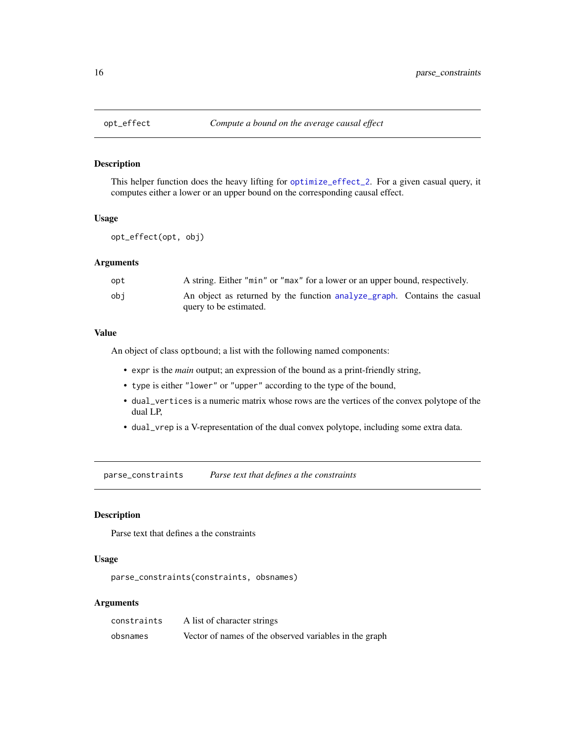<span id="page-15-1"></span><span id="page-15-0"></span>

This helper function does the heavy lifting for [optimize\\_effect\\_2](#page-14-1). For a given casual query, it computes either a lower or an upper bound on the corresponding causal effect.

#### Usage

opt\_effect(opt, obj)

#### Arguments

| opt | A string. Either "min" or "max" for a lower or an upper bound, respectively. |
|-----|------------------------------------------------------------------------------|
| obi | An object as returned by the function analyze graph. Contains the casual     |
|     | query to be estimated.                                                       |

#### Value

An object of class optbound; a list with the following named components:

- expr is the *main* output; an expression of the bound as a print-friendly string,
- type is either "lower" or "upper" according to the type of the bound,
- dual\_vertices is a numeric matrix whose rows are the vertices of the convex polytope of the dual LP,
- dual\_vrep is a V-representation of the dual convex polytope, including some extra data.

parse\_constraints *Parse text that defines a the constraints*

#### Description

Parse text that defines a the constraints

## Usage

parse\_constraints(constraints, obsnames)

#### Arguments

| constraints | A list of character strings                            |
|-------------|--------------------------------------------------------|
| obsnames    | Vector of names of the observed variables in the graph |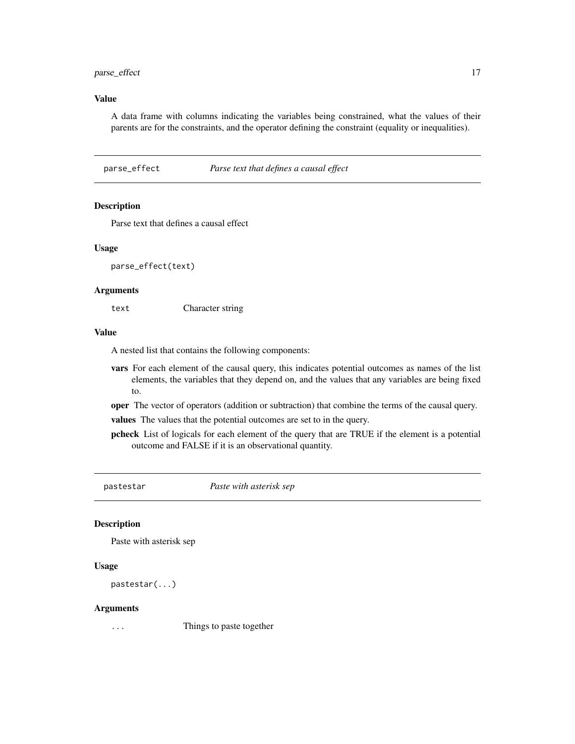## <span id="page-16-0"></span>parse\_effect 17

#### Value

A data frame with columns indicating the variables being constrained, what the values of their parents are for the constraints, and the operator defining the constraint (equality or inequalities).

<span id="page-16-1"></span>parse\_effect *Parse text that defines a causal effect*

## Description

Parse text that defines a causal effect

#### Usage

parse\_effect(text)

#### Arguments

text Character string

#### Value

A nested list that contains the following components:

- vars For each element of the causal query, this indicates potential outcomes as names of the list elements, the variables that they depend on, and the values that any variables are being fixed to.
- oper The vector of operators (addition or subtraction) that combine the terms of the causal query.

values The values that the potential outcomes are set to in the query.

pcheck List of logicals for each element of the query that are TRUE if the element is a potential outcome and FALSE if it is an observational quantity.

pastestar *Paste with asterisk sep*

#### Description

Paste with asterisk sep

#### Usage

```
pastestar(...)
```
#### Arguments

... Things to paste together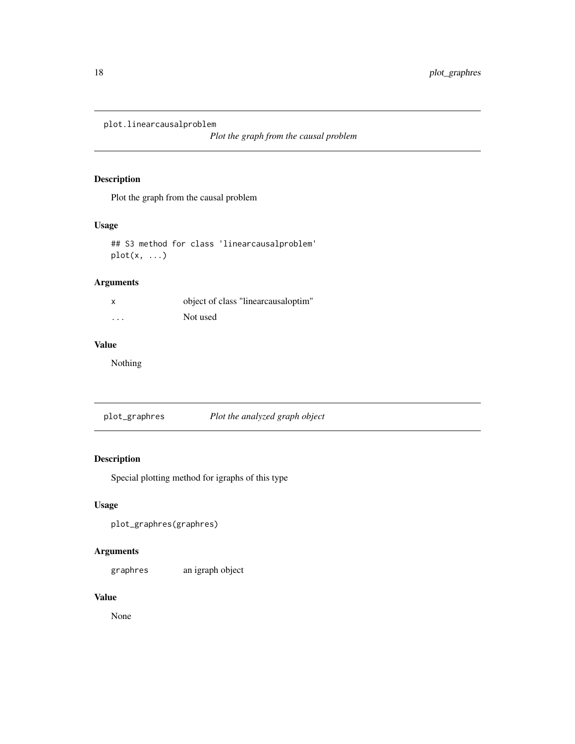<span id="page-17-0"></span>plot.linearcausalproblem

*Plot the graph from the causal problem*

## Description

Plot the graph from the causal problem

## Usage

```
## S3 method for class 'linearcausalproblem'
plot(x, \ldots)
```
## Arguments

| x | object of class "linearcausaloptim" |
|---|-------------------------------------|
| . | Not used                            |

## Value

Nothing

plot\_graphres *Plot the analyzed graph object*

## Description

Special plotting method for igraphs of this type

## Usage

plot\_graphres(graphres)

## Arguments

graphres an igraph object

## Value

None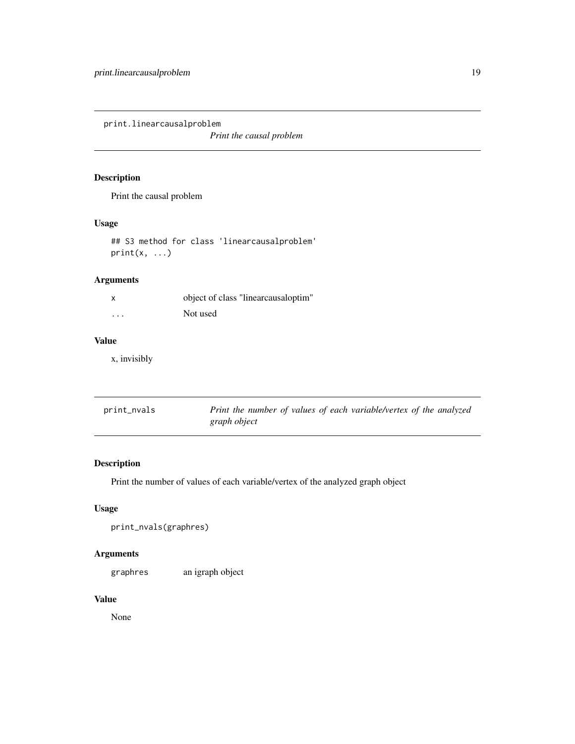<span id="page-18-0"></span>print.linearcausalproblem

*Print the causal problem*

## Description

Print the causal problem

#### Usage

## S3 method for class 'linearcausalproblem'  $print(x, \ldots)$ 

## Arguments

| x        | object of class "linearcausaloptim" |
|----------|-------------------------------------|
| $\cdots$ | Not used                            |

## Value

x, invisibly

| print_nvals | Print the number of values of each variable/vertex of the analyzed |
|-------------|--------------------------------------------------------------------|
|             | graph object                                                       |

## Description

Print the number of values of each variable/vertex of the analyzed graph object

## Usage

```
print_nvals(graphres)
```
## Arguments

graphres an igraph object

## Value

None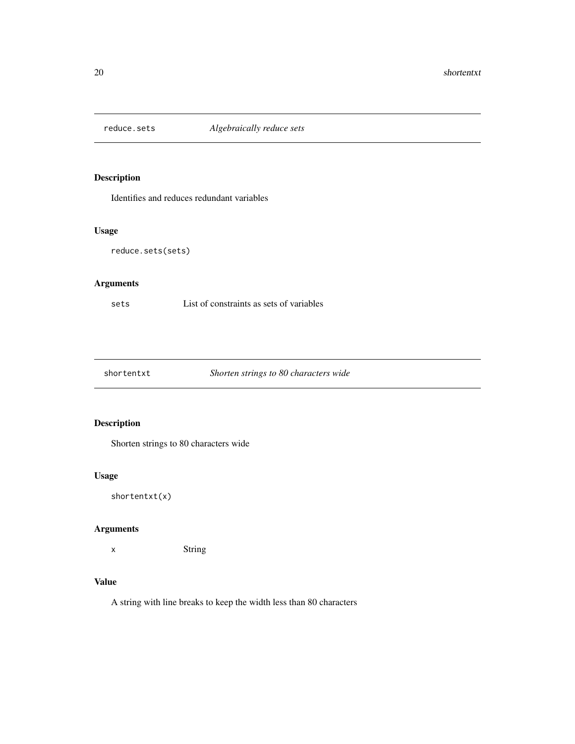<span id="page-19-0"></span>

Identifies and reduces redundant variables

## Usage

```
reduce.sets(sets)
```
## Arguments

sets List of constraints as sets of variables

shortentxt *Shorten strings to 80 characters wide*

## Description

Shorten strings to 80 characters wide

## Usage

shortentxt(x)

## Arguments

x String

## Value

A string with line breaks to keep the width less than 80 characters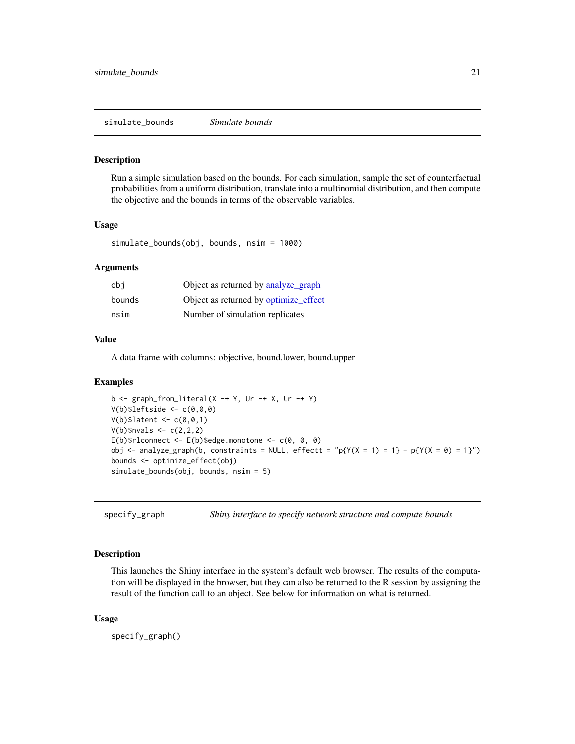<span id="page-20-0"></span>simulate\_bounds *Simulate bounds*

#### Description

Run a simple simulation based on the bounds. For each simulation, sample the set of counterfactual probabilities from a uniform distribution, translate into a multinomial distribution, and then compute the objective and the bounds in terms of the observable variables.

#### Usage

```
simulate_bounds(obj, bounds, nsim = 1000)
```
#### Arguments

| obi    | Object as returned by analyze_graph   |
|--------|---------------------------------------|
| bounds | Object as returned by optimize_effect |
| nsim   | Number of simulation replicates       |

#### Value

A data frame with columns: objective, bound.lower, bound.upper

#### Examples

```
b \leq graph_from_literal(X -+ Y, Ur -+ X, Ur -+ Y)
V(b)$leftside <- c(0,0,0)V(b)$latent <- c(\theta, \theta, 1)V(b)$nvals <- c(2,2,2)E(b)$rlconnect <- E(b)$edge.monotone <- C(e, e, e)obj <- analyze_graph(b, constraints = NULL, effectt = "p{Y(X = 1) = 1} - p{Y(X = 0) = 1}")
bounds <- optimize_effect(obj)
simulate_bounds(obj, bounds, nsim = 5)
```
<span id="page-20-1"></span>specify\_graph *Shiny interface to specify network structure and compute bounds*

#### Description

This launches the Shiny interface in the system's default web browser. The results of the computation will be displayed in the browser, but they can also be returned to the R session by assigning the result of the function call to an object. See below for information on what is returned.

#### Usage

specify\_graph()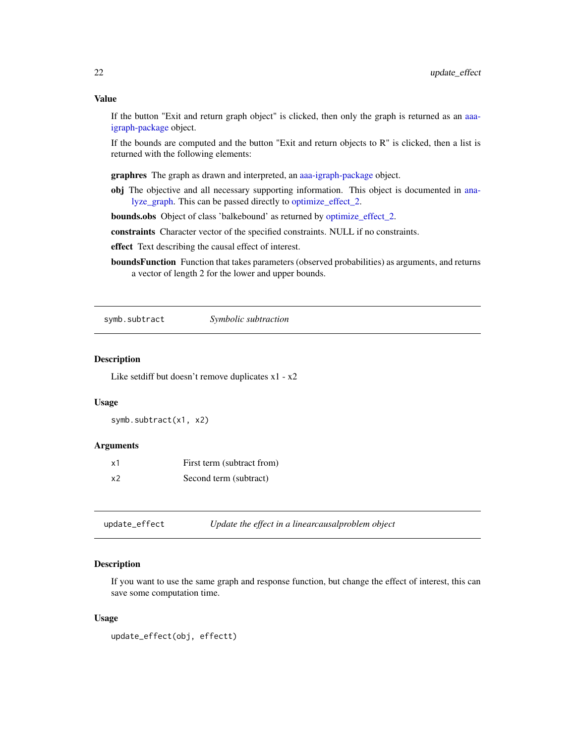#### <span id="page-21-0"></span>Value

If the button "Exit and return graph object" is clicked, then only the graph is returned as an [aaa](#page-0-0)[igraph-package](#page-0-0) object.

If the bounds are computed and the button "Exit and return objects to  $\mathbb{R}$ " is clicked, then a list is returned with the following elements:

graphres The graph as drawn and interpreted, an [aaa-igraph-package](#page-0-0) object.

obj The objective and all necessary supporting information. This object is documented in [ana](#page-2-1)[lyze\\_graph.](#page-2-1) This can be passed directly to [optimize\\_effect\\_2.](#page-14-1)

bounds.obs Object of class 'balkebound' as returned by [optimize\\_effect\\_2.](#page-14-1)

constraints Character vector of the specified constraints. NULL if no constraints.

effect Text describing the causal effect of interest.

boundsFunction Function that takes parameters (observed probabilities) as arguments, and returns a vector of length 2 for the lower and upper bounds.

symb.subtract *Symbolic subtraction*

#### Description

Like setdiff but doesn't remove duplicates x1 - x2

## Usage

symb.subtract(x1, x2)

#### Arguments

| х1 | First term (subtract from) |
|----|----------------------------|
| x2 | Second term (subtract)     |

update\_effect *Update the effect in a linearcausalproblem object*

## Description

If you want to use the same graph and response function, but change the effect of interest, this can save some computation time.

#### Usage

```
update_effect(obj, effectt)
```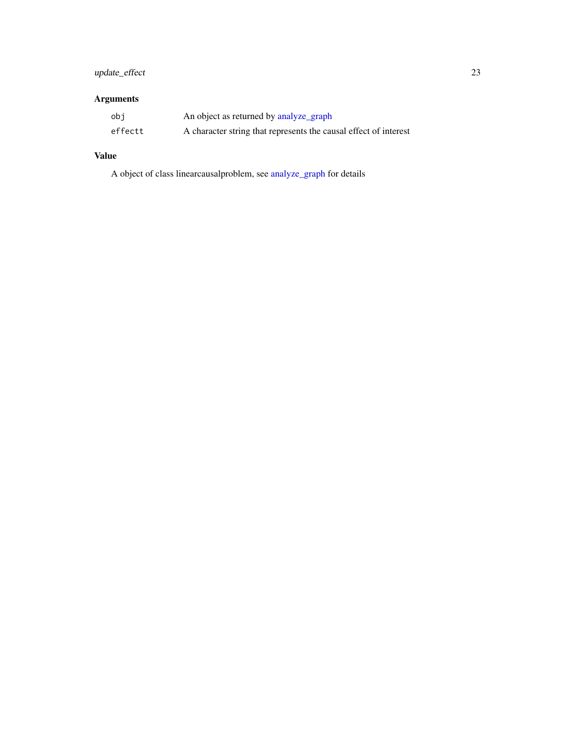## <span id="page-22-0"></span>update\_effect 23

## Arguments

| obi     | An object as returned by analyze_graph                           |
|---------|------------------------------------------------------------------|
| effectt | A character string that represents the causal effect of interest |

## Value

A object of class linearcausalproblem, see [analyze\\_graph](#page-2-1) for details